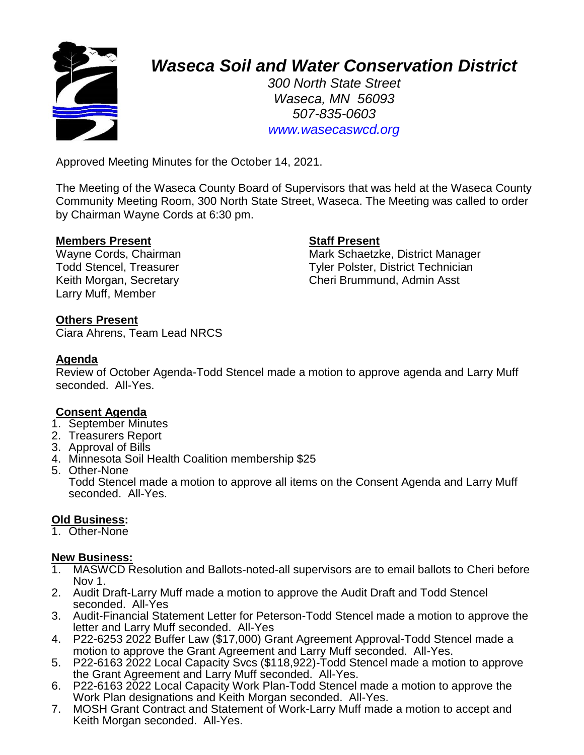

# *Waseca Soil and Water Conservation District*

*300 North State Street Waseca, MN 56093 507-835-0603 www.wasecaswcd.org*

Approved Meeting Minutes for the October 14, 2021.

The Meeting of the Waseca County Board of Supervisors that was held at the Waseca County Community Meeting Room, 300 North State Street, Waseca. The Meeting was called to order by Chairman Wayne Cords at 6:30 pm.

### **Members Present Staff Present**

Larry Muff, Member

Wayne Cords, Chairman Mark Schaetzke, District Manager Todd Stencel, Treasurer Tyler Polster, District Technician Keith Morgan, Secretary **Cheri Brummund, Admin Asst** 

# **Others Present**

Ciara Ahrens, Team Lead NRCS

# **Agenda**

Review of October Agenda-Todd Stencel made a motion to approve agenda and Larry Muff seconded. All-Yes.

### **Consent Agenda**

- 1. September Minutes
- 2. Treasurers Report
- 3. Approval of Bills
- 4. Minnesota Soil Health Coalition membership \$25
- 5. Other-None

Todd Stencel made a motion to approve all items on the Consent Agenda and Larry Muff seconded. All-Yes.

# **Old Business:**

1. Other-None

# **New Business:**

- 1. MASWCD Resolution and Ballots-noted-all supervisors are to email ballots to Cheri before Nov 1.
- 2. Audit Draft-Larry Muff made a motion to approve the Audit Draft and Todd Stencel seconded. All-Yes
- 3. Audit-Financial Statement Letter for Peterson-Todd Stencel made a motion to approve the letter and Larry Muff seconded. All-Yes
- 4. P22-6253 2022 Buffer Law (\$17,000) Grant Agreement Approval-Todd Stencel made a motion to approve the Grant Agreement and Larry Muff seconded. All-Yes.
- 5. P22-6163 2022 Local Capacity Svcs (\$118,922)-Todd Stencel made a motion to approve the Grant Agreement and Larry Muff seconded. All-Yes.
- 6. P22-6163 2022 Local Capacity Work Plan-Todd Stencel made a motion to approve the Work Plan designations and Keith Morgan seconded. All-Yes.
- 7. MOSH Grant Contract and Statement of Work-Larry Muff made a motion to accept and Keith Morgan seconded. All-Yes.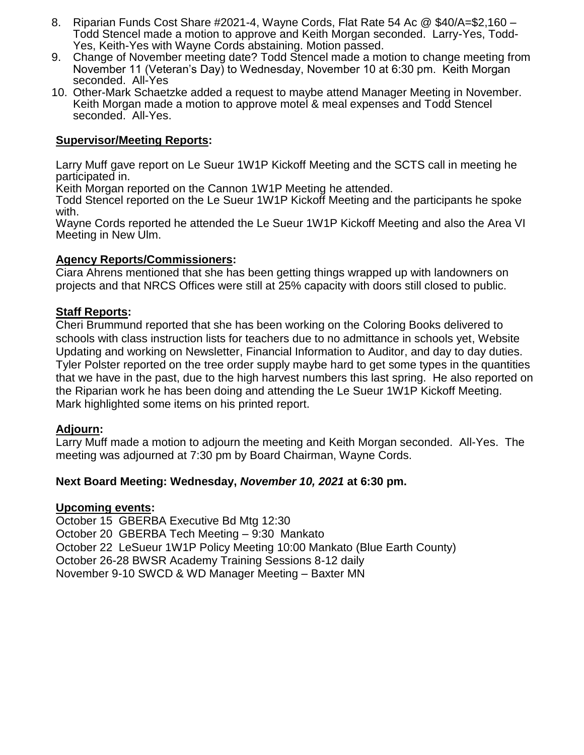- 8. Riparian Funds Cost Share #2021-4, Wayne Cords, Flat Rate 54 Ac @ \$40/A=\$2,160 Todd Stencel made a motion to approve and Keith Morgan seconded. Larry-Yes, Todd-Yes, Keith-Yes with Wayne Cords abstaining. Motion passed.
- 9. Change of November meeting date? Todd Stencel made a motion to change meeting from November 11 (Veteran's Day) to Wednesday, November 10 at 6:30 pm. Keith Morgan seconded. All-Yes
- 10. Other-Mark Schaetzke added a request to maybe attend Manager Meeting in November. Keith Morgan made a motion to approve motel & meal expenses and Todd Stencel seconded. All-Yes.

### **Supervisor/Meeting Reports:**

Larry Muff gave report on Le Sueur 1W1P Kickoff Meeting and the SCTS call in meeting he participated in.

Keith Morgan reported on the Cannon 1W1P Meeting he attended.

Todd Stencel reported on the Le Sueur 1W1P Kickoff Meeting and the participants he spoke with.

Wayne Cords reported he attended the Le Sueur 1W1P Kickoff Meeting and also the Area VI Meeting in New Ulm.

#### **Agency Reports/Commissioners:**

Ciara Ahrens mentioned that she has been getting things wrapped up with landowners on projects and that NRCS Offices were still at 25% capacity with doors still closed to public.

#### **Staff Reports:**

Cheri Brummund reported that she has been working on the Coloring Books delivered to schools with class instruction lists for teachers due to no admittance in schools yet, Website Updating and working on Newsletter, Financial Information to Auditor, and day to day duties. Tyler Polster reported on the tree order supply maybe hard to get some types in the quantities that we have in the past, due to the high harvest numbers this last spring. He also reported on the Riparian work he has been doing and attending the Le Sueur 1W1P Kickoff Meeting. Mark highlighted some items on his printed report.

### **Adjourn:**

Larry Muff made a motion to adjourn the meeting and Keith Morgan seconded. All-Yes. The meeting was adjourned at 7:30 pm by Board Chairman, Wayne Cords.

### **Next Board Meeting: Wednesday,** *November 10, 2021* **at 6:30 pm.**

#### **Upcoming events:**

October 15 GBERBA Executive Bd Mtg 12:30 October 20 GBERBA Tech Meeting – 9:30 Mankato October 22 LeSueur 1W1P Policy Meeting 10:00 Mankato (Blue Earth County) October 26-28 BWSR Academy Training Sessions 8-12 daily November 9-10 SWCD & WD Manager Meeting – Baxter MN